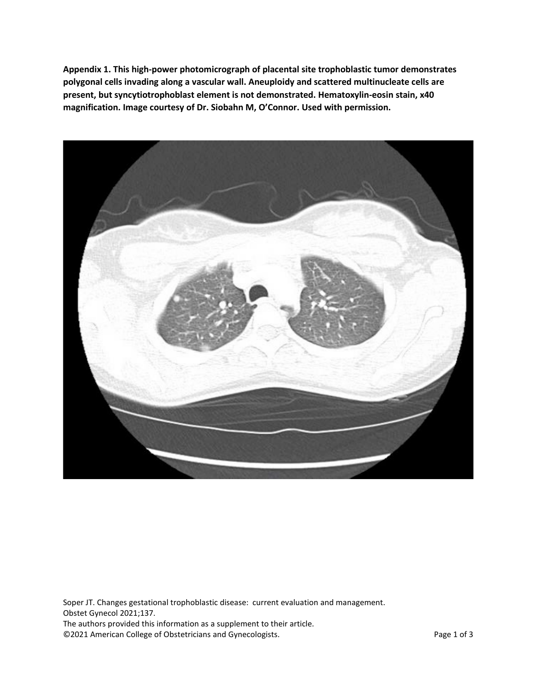**Appendix 1. This high-power photomicrograph of placental site trophoblastic tumor demonstrates polygonal cells invading along a vascular wall. Aneuploidy and scattered multinucleate cells are present, but syncytiotrophoblast element is not demonstrated. Hematoxylin-eosin stain, x40 magnification. Image courtesy of Dr. Siobahn M, O'Connor. Used with permission.**



Soper JT. Changes gestational trophoblastic disease: current evaluation and management. Obstet Gynecol 2021;137. The authors provided this information as a supplement to their article. ©2021 American College of Obstetricians and Gynecologists. Page 1 of 3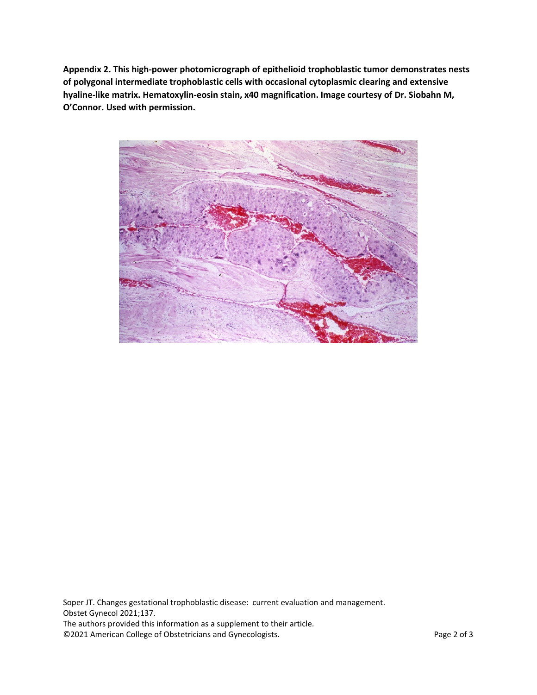**Appendix 2. This high-power photomicrograph of epithelioid trophoblastic tumor demonstrates nests of polygonal intermediate trophoblastic cells with occasional cytoplasmic clearing and extensive hyaline-like matrix. Hematoxylin-eosin stain, x40 magnification. Image courtesy of Dr. Siobahn M, O'Connor. Used with permission.**



Soper JT. Changes gestational trophoblastic disease: current evaluation and management. Obstet Gynecol 2021;137. The authors provided this information as a supplement to their article. ©2021 American College of Obstetricians and Gynecologists. Page 2 of 3